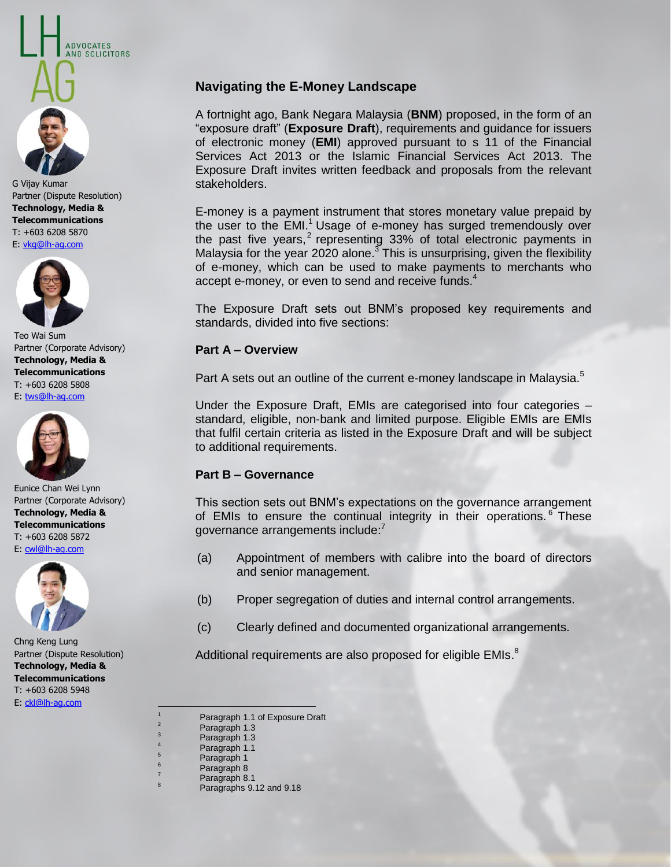Technology, Media & **Telecommunications Technology, Media &**  T: +603 6208 5870 E: <u>vkg@lh-ag.com</u> T: +603 6208 5870 G Vijay Kumar Partner (Dispute Resolution)

**ADVOCATES** AND SOLICITORS



Teo Wai Sum Partner (Corporate Advisory) **Technology, Media & Telecommunications** T: +603 6208 5808 E: [tws@lh-ag.com](mailto:tws@lh-ag.com)



Eunice Chan Wei Lynn Partner (Corporate Advisory) **Technology, Media & Telecommunications** T: +603 6208 5872 E: [cwl@lh-ag.com](mailto:cwl@lh-ag.com)



Chng Keng Lung Partner (Dispute Resolution) **Technology, Media & Telecommunications** T: +603 6208 5948 E: [ckl@lh-ag.com](mailto:ckl@lh-ag.com)

# **Navigating the E-Money Landscape**

A fortnight ago, Bank Negara Malaysia (**BNM**) proposed, in the form of an "exposure draft" (**Exposure Draft**), requirements and guidance for issuers of electronic money (**EMI**) approved pursuant to s 11 of the Financial Services Act 2013 or the Islamic Financial Services Act 2013. The Exposure Draft invites written feedback and proposals from the relevant stakeholders.

E-money is a payment instrument that stores monetary value prepaid by the user to the EMI.<sup>1</sup> Usage of e-money has surged tremendously over the past five years,<sup>2</sup> representing 33% of total electronic payments in Malaysia for the year 2020 alone. $3$  This is unsurprising, given the flexibility of e-money, which can be used to make payments to merchants who accept e-money, or even to send and receive funds. $4$ 

The Exposure Draft sets out BNM's proposed key requirements and standards, divided into five sections:

#### **Part A – Overview**

Part A sets out an outline of the current e-money landscape in Malaysia.<sup>5</sup>

Under the Exposure Draft, EMIs are categorised into four categories – standard, eligible, non-bank and limited purpose. Eligible EMIs are EMIs that fulfil certain criteria as listed in the Exposure Draft and will be subject to additional requirements.

#### **Part B – Governance**

This section sets out BNM's expectations on the governance arrangement of EMIs to ensure the continual integrity in their operations.<sup>6</sup> These governance arrangements include:<sup>7</sup>

- (a) Appointment of members with calibre into the board of directors and senior management.
- (b) Proper segregation of duties and internal control arrangements.
- (c) Clearly defined and documented organizational arrangements.

Additional requirements are also proposed for eligible EMIs.<sup>8</sup>

 $\overline{a}$ 

8

- Paragraph 1.1
- Paragraph 1
- <sup>6</sup> Paragraph 8
- Paragraph 8.1
	- Paragraphs 9.12 and 9.18

Paragraph 1.1 of Exposure Draft

Paragraph 1.3 Paragraph 1.3